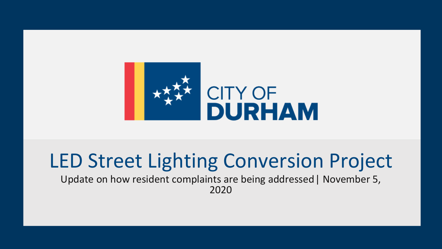

# LED Street Lighting Conversion Project

Update on how resident complaints are being addressed| November 5, 2020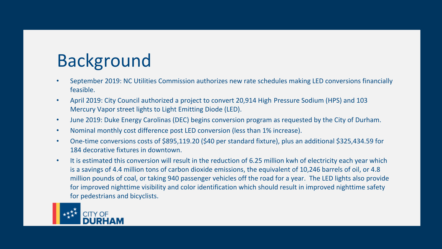## Background

- September 2019: NC Utilities Commission authorizes new rate schedules making LED conversions financially feasible.
- April 2019: City Council authorized a project to convert 20,914 High Pressure Sodium (HPS) and 103 Mercury Vapor street lights to Light Emitting Diode (LED).
- June 2019: Duke Energy Carolinas (DEC) begins conversion program as requested by the City of Durham.
- Nominal monthly cost difference post LED conversion (less than 1% increase).
- One-time conversions costs of \$895,119.20 (\$40 per standard fixture), plus an additional \$325,434.59 for 184 decorative fixtures in downtown.
- It is estimated this conversion will result in the reduction of 6.25 million kwh of electricity each year which is a savings of 4.4 million tons of carbon dioxide emissions, the equivalent of 10,246 barrels of oil, or 4.8 million pounds of coal, or taking 940 passenger vehicles off the road for a year. The LED lights also provide for improved nighttime visibility and color identification which should result in improved nighttime safety for pedestrians and bicyclists.

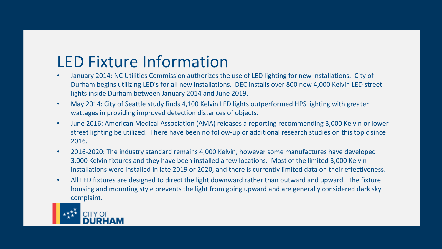#### LED Fixture Information

- January 2014: NC Utilities Commission authorizes the use of LED lighting for new installations. City of Durham begins utilizing LED's for all new installations. DEC installs over 800 new 4,000 Kelvin LED street lights inside Durham between January 2014 and June 2019.
- May 2014: City of Seattle study finds 4,100 Kelvin LED lights outperformed HPS lighting with greater wattages in providing improved detection distances of objects.
- June 2016: American Medical Association (AMA) releases a reporting recommending 3,000 Kelvin or lower street lighting be utilized. There have been no follow-up or additional research studies on this topic since 2016.
- 2016-2020: The industry standard remains 4,000 Kelvin, however some manufactures have developed 3,000 Kelvin fixtures and they have been installed a few locations. Most of the limited 3,000 Kelvin installations were installed in late 2019 or 2020, and there is currently limited data on their effectiveness.
- All LED fixtures are designed to direct the light downward rather than outward and upward. The fixture housing and mounting style prevents the light from going upward and are generally considered dark sky complaint.

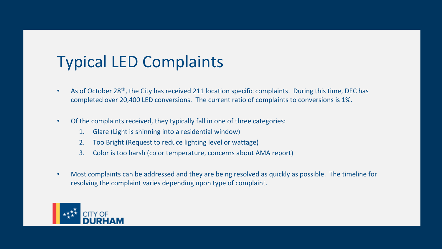#### Typical LED Complaints

- As of October 28<sup>th</sup>, the City has received 211 location specific complaints. During this time, DEC has completed over 20,400 LED conversions. The current ratio of complaints to conversions is 1%.
- Of the complaints received, they typically fall in one of three categories:
	- 1. Glare (Light is shinning into a residential window)
	- 2. Too Bright (Request to reduce lighting level or wattage)
	- 3. Color is too harsh (color temperature, concerns about AMA report)
- Most complaints can be addressed and they are being resolved as quickly as possible. The timeline for resolving the complaint varies depending upon type of complaint.

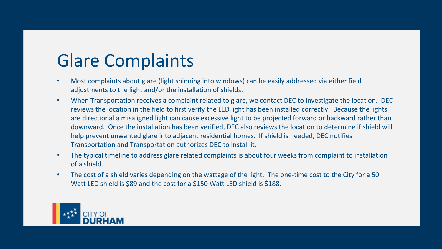### Glare Complaints

- Most complaints about glare (light shinning into windows) can be easily addressed via either field adjustments to the light and/or the installation of shields.
- When Transportation receives a complaint related to glare, we contact DEC to investigate the location. DEC reviews the location in the field to first verify the LED light has been installed correctly. Because the lights are directional a misaligned light can cause excessive light to be projected forward or backward rather than downward. Once the installation has been verified, DEC also reviews the location to determine if shield will help prevent unwanted glare into adjacent residential homes. If shield is needed, DEC notifies Transportation and Transportation authorizes DEC to install it.
- The typical timeline to address glare related complaints is about four weeks from complaint to installation of a shield.
- The cost of a shield varies depending on the wattage of the light. The one-time cost to the City for a 50 Watt LED shield is \$89 and the cost for a \$150 Watt LED shield is \$188.

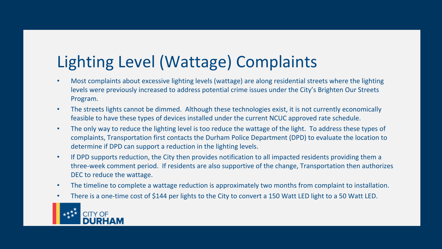### Lighting Level (Wattage) Complaints

- Most complaints about excessive lighting levels (wattage) are along residential streets where the lighting levels were previously increased to address potential crime issues under the City's Brighten Our Streets Program.
- The streets lights cannot be dimmed. Although these technologies exist, it is not currently economically feasible to have these types of devices installed under the current NCUC approved rate schedule.
- The only way to reduce the lighting level is too reduce the wattage of the light. To address these types of complaints, Transportation first contacts the Durham Police Department (DPD) to evaluate the location to determine if DPD can support a reduction in the lighting levels.
- If DPD supports reduction, the City then provides notification to all impacted residents providing them a three-week comment period. If residents are also supportive of the change, Transportation then authorizes DEC to reduce the wattage.
- The timeline to complete a wattage reduction is approximately two months from complaint to installation.
- There is a one-time cost of \$144 per lights to the City to convert a 150 Watt LED light to a 50 Watt LED.

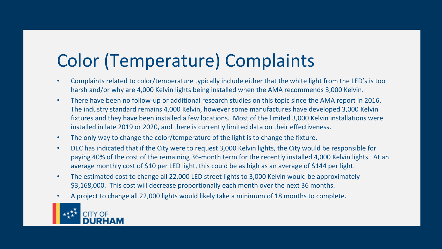## Color (Temperature) Complaints

- Complaints related to color/temperature typically include either that the white light from the LED's is too harsh and/or why are 4,000 Kelvin lights being installed when the AMA recommends 3,000 Kelvin.
- There have been no follow-up or additional research studies on this topic since the AMA report in 2016. The industry standard remains 4,000 Kelvin, however some manufactures have developed 3,000 Kelvin fixtures and they have been installed a few locations. Most of the limited 3,000 Kelvin installations were installed in late 2019 or 2020, and there is currently limited data on their effectiveness.
- The only way to change the color/temperature of the light is to change the fixture.
- DEC has indicated that if the City were to request 3,000 Kelvin lights, the City would be responsible for paying 40% of the cost of the remaining 36-month term for the recently installed 4,000 Kelvin lights. At an average monthly cost of \$10 per LED light, this could be as high as an average of \$144 per light.
- The estimated cost to change all 22,000 LED street lights to 3,000 Kelvin would be approximately \$3,168,000. This cost will decrease proportionally each month over the next 36 months.
- A project to change all 22,000 lights would likely take a minimum of 18 months to complete.

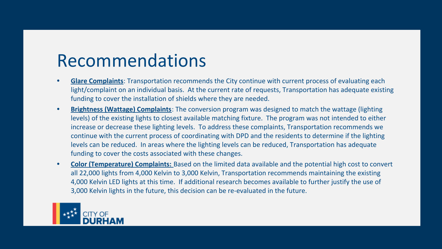### Recommendations

- **• Glare Complaints**: Transportation recommends the City continue with current process of evaluating each light/complaint on an individual basis. At the current rate of requests, Transportation has adequate existing funding to cover the installation of shields where they are needed.
- **• Brightness (Wattage) Complaints**: The conversion program was designed to match the wattage (lighting levels) of the existing lights to closest available matching fixture. The program was not intended to either increase or decrease these lighting levels. To address these complaints, Transportation recommends we continue with the current process of coordinating with DPD and the residents to determine if the lighting levels can be reduced. In areas where the lighting levels can be reduced, Transportation has adequate funding to cover the costs associated with these changes.
- **• Color (Temperature) Complaints:** Based on the limited data available and the potential high cost to convert all 22,000 lights from 4,000 Kelvin to 3,000 Kelvin, Transportation recommends maintaining the existing 4,000 Kelvin LED lights at this time. If additional research becomes available to further justify the use of 3,000 Kelvin lights in the future, this decision can be re-evaluated in the future.